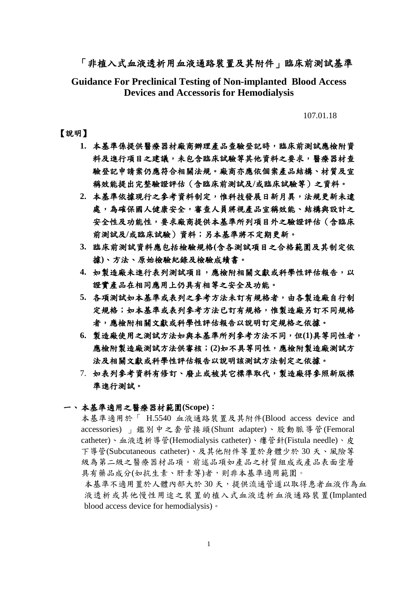# 「非植入式血液透析用血液通路裝置及其附件」臨床前測試基準

**Guidance For Preclinical Testing of Non-implanted Blood Access Devices and Accessoris for Hemodialysis**

107.01.18

## 【說明】

- **1.** 本基準係提供醫療器材廠商辦理產品查驗登記時,臨床前測試應檢附資 料及進行項目之建議,未包含臨床試驗等其他資料之要求,醫療器材查 驗登記申請案仍應符合相關法規。廠商亦應依個案產品結構、材質及宣 稱效能提出完整驗證評估(含臨床前測試及**/**或臨床試驗等)之資料。
- **2.** 本基準依據現行之參考資料制定,惟科技發展日新月異,法規更新未逮 處,為確保國人健康安全,審查人員將視產品宣稱效能、結構與設計之 安全性及功能性,要求廠商提供本基準所列項目外之驗證評估(含臨床 前測試及**/**或臨床試驗)資料;另本基準將不定期更新。
- **3.** 臨床前測試資料應包括檢驗規格**(**含各測試項目之合格範圍及其制定依 據**)**、方法、原始檢驗紀錄及檢驗成績書。
- **4.** 如製造廠未進行表列測試項目,應檢附相關文獻或科學性評估報告,以 證實產品在相同應用上仍具有相等之安全及功能。
- 5. 各項測試如本基準或表列之參考方法未訂有規格者,由各製造廠自行制 定規格;如本基準或表列參考方法已訂有規格,惟製造廠另訂不同規格 者,應檢附相關文獻或科學性評估報告以說明訂定規格之依據。
- **6.** 製造廠使用之測試方法如與本基準所列參考方法不同,但**(1)**具等同性者, 應檢附製造廠測試方法供審核;**(2)**如不具等同性,應檢附製造廠測試方 法及相關文獻或科學性評估報告以說明該測試方法制定之依據。
- 7. 如表列參考資料有修訂、廢止或被其它標準取代,製造廠得參照新版標 準進行測試。

### 一、 本基準適用之醫療器材範圍**(Scope)**:

本基準適用於「 H.5540 血液通路裝置及其附件(Blood access device and accessories) 」鑑別中之套管接頭(Shunt adapter)、股動脈導管(Femoral catheter)、血液透析導管(Hemodialysis catheter)、瘻管針(Fistula needle)、皮 下導管(Subcutaneous catheter)、及其他附件等置於身體少於 30 天、風險等 級為第二級之醫療器材品項。前述品項如產品之材質組成或產品表面塗層 具有藥品成分(如抗生素、肝素等)者,則非本基準適用範圍。

本基準不適用置於人體內部大於 30天,提供流通管道以取得患者血液作為血 液透析或其他慢性用途之裝置的植入式血液透析血液通路裝置(Implanted blood access device for hemodialysis)。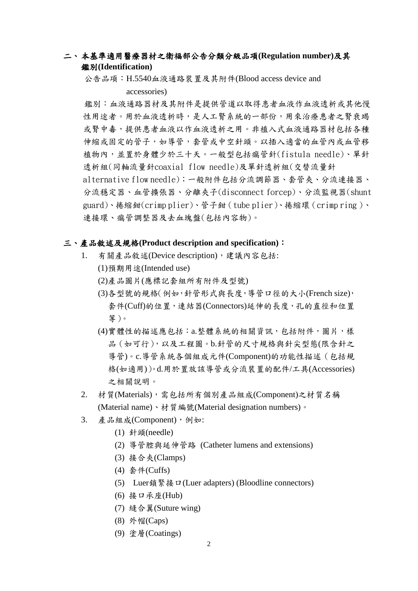# 二、 本基準適用醫療器材之衛福部公告分類分級品項**(Regulation number)**及其 鑑別**(Identification)**

公告品項:H.5540血液通路裝置及其附件(Blood access device and

accessories)

鑑別:血液通路器材及其附件是提供管道以取得患者血液作血液透析或其他慢 性用途者。用於血液透析時,是人工腎系統的一部份,用來治療患者之腎衰竭 或腎中毒,提供患者血液以作血液透析之用。非植入式血液通路器材包括各種 伸縮或固定的管子,如導管,套管或中空針頭。以插入適當的血管內或血管移 植物內,並置於身體少於三十天。一般型包括瘺管針(fistula needle)、單針 透析組(同軸流量針coaxial flow needle)及單針透析組(交替流量針 alternative flow needle);一般附件包括分流調節器、套管夾、分流連接器、 分流穩定器、血管擴張器、分離夾子(disconnect forcep)、分流監視器(shunt guard)、捲縮鉗(crimp plier)、管子鉗(tube plier)、捲縮環(crimp ring )、 連接環、瘺管調整器及去血塊盤(包括內容物)。

### 三、產品敘述及規格**(Product description and specification)**:

- 1. 有關產品敘述(Device description),建議內容包括:
	- (1)預期用途(Intended use)
	- (2)產品圖片(應標記套組所有附件及型號)
	- (3)各型號的規格(例如,針管形式與長度,導管口徑的大小(French size), 套件(Cuff)的位置,連結器(Connectors)延伸的長度,孔的直徑和位置 等)。
	- (4)實體性的描述應包括:a.整體系統的相關資訊,包括附件,圖片,樣 品(如可行),以及工程圖。b.針管的尺寸規格與針尖型態(限含針之 導管)。c.導管系統各個組成元件(Component)的功能性描述(包括規 格(如適用))。d.用於置放該導管或分流裝置的配件/工具(Accessories) 之相關說明。
- 2. 材質(Materials),需包括所有個別產品組成(Component)之材質名稱 (Material name)、材質編號(Material designation numbers)。
- 3. 產品組成(Component),例如:
	- (1) 針頭(needle)
	- (2) 導管腔與延伸管路 (Catheter lumens and extensions)
	- (3) 接合夾(Clamps)
	- (4) 套件(Cuffs)
	- (5) Luer鎖緊接口(Luer adapters) (Bloodline connectors)
	- (6) 接口承座(Hub)
	- (7) 縫合翼(Suture wing)
	- (8) 外帽(Caps)
	- (9) 塗層(Coatings)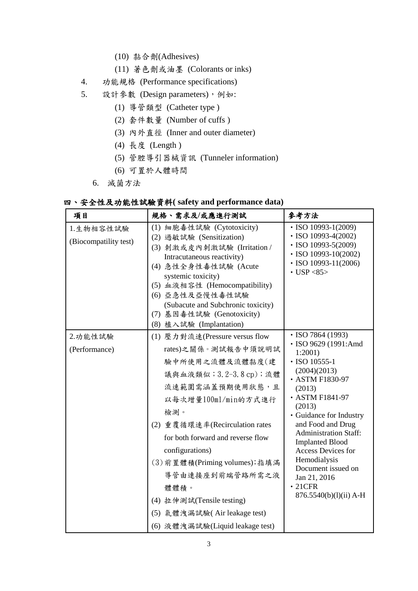- (10) 黏合劑(Adhesives)
- (11) 著色劑或油墨 (Colorants or inks)
- 4. 功能規格 (Performance specifications)
- 5. 設計參數 (Design parameters),例如:
	- (1) 導管類型 (Catheter type )
	- (2) 套件數量 (Number of cuffs )
	- (3) 內外直徑 (Inner and outer diameter)
	- (4) 長度 (Length )
	- (5) 管腔導引器械資訊 (Tunneler information)
	- (6) 可置於人體時間
	- 6. 滅菌方法

|  |  |  |  |  |  | 四、安全性及功能性試驗資料(safety and performance data) |  |
|--|--|--|--|--|--|--------------------------------------------|--|
|--|--|--|--|--|--|--------------------------------------------|--|

| 項目                                 | 規格、需求及/或應進行測試                                                                                                                                                                                                                                                                                                                                                                                               | 參考方法                                                                                                                                                                                                                                                                                                                                                                                                   |
|------------------------------------|-------------------------------------------------------------------------------------------------------------------------------------------------------------------------------------------------------------------------------------------------------------------------------------------------------------------------------------------------------------------------------------------------------------|--------------------------------------------------------------------------------------------------------------------------------------------------------------------------------------------------------------------------------------------------------------------------------------------------------------------------------------------------------------------------------------------------------|
| 1.生物相容性試驗<br>(Biocompatility test) | (1) 細胞毒性試驗 (Cytotoxicity)<br>(2) 過敏試驗 (Sensitization)<br>(3) 刺激或皮内刺激試驗 (Irritation /<br>Intracutaneous reactivity)<br>(4) 急性全身性毒性試驗 (Acute<br>systemic toxicity)<br>(5) 血液相容性 (Hemocompatibility)<br>(6) 亞急性及亞慢性毒性試驗<br>(Subacute and Subchronic toxicity)<br>(7) 基因毒性試驗 (Genotoxicity)<br>(8) 植入試驗 (Implantation)                                                                                          | $\cdot$ ISO 10993-1(2009)<br>$\cdot$ ISO 10993-4(2002)<br>$\cdot$ ISO 10993-5(2009)<br>$\cdot$ ISO 10993-10(2002)<br>$\cdot$ ISO 10993-11(2006)<br>$\cdot$ USP <85>                                                                                                                                                                                                                                    |
| 2.功能性試驗<br>(Performance)           | (1) 壓力對流速(Pressure versus flow<br>rates)之關係。測試報告中須說明試<br>驗中所使用之流體及流體黏度(建<br>議與血液類似; 3.2-3.8 cp); 流體<br>流速範圍需涵蓋預期使用狀態,且<br>以每次增量100ml/min的方式進行<br>檢測。<br>(2) 重覆循環速率(Recirculation rates<br>for both forward and reverse flow<br>configurations)<br>(3) 前置體積(Priming volumes); 指填滿<br>導管由連接座到前端管路所需之液<br>體體積。<br>(4) 拉伸測試(Tensile testing)<br>(5) 氣體洩漏試驗(Air leakage test)<br>(6) 液體洩漏試驗(Liquid leakage test) | $\cdot$ ISO 7864 (1993)<br>· ISO 9629 (1991:Amd<br>$1:2001$ )<br>$\cdot$ ISO 10555-1<br>(2004)(2013)<br>• ASTM F1830-97<br>(2013)<br>• ASTM F1841-97<br>(2013)<br>• Guidance for Industry<br>and Food and Drug<br><b>Administration Staff:</b><br><b>Implanted Blood</b><br><b>Access Devices for</b><br>Hemodialysis<br>Document issued on<br>Jan 21, 2016<br>$\cdot$ 21CFR<br>876.5540(b)(l)(ii) A-H |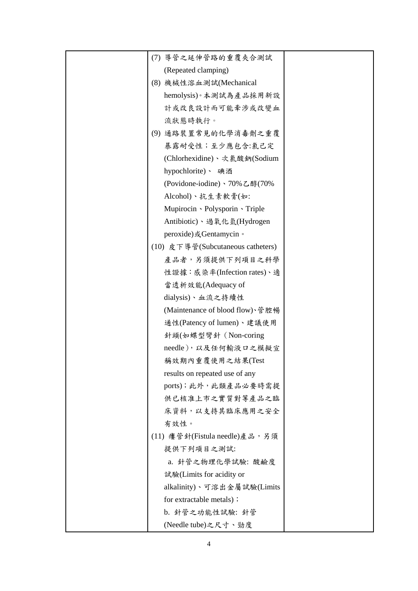| (7) 導管之延伸管路的重覆夾合測試                |  |
|-----------------------------------|--|
| (Repeated clamping)               |  |
| (8) 機械性溶血測試(Mechanical            |  |
| hemolysis)。本測試為產品採用新設             |  |
| 計或改良設計而可能牽涉或改變血                   |  |
| 流狀態時執行。                           |  |
| (9) 通路裝置常見的化學消毒劑之重覆               |  |
| 暴露耐受性;至少應包含:氯己定                   |  |
| (Chlorhexidine)、次氯酸鈉(Sodium       |  |
| hypochlorite)、 碘酒                 |  |
| (Povidone-iodine)、70%乙醇(70%       |  |
| Alcohol)、抗生素軟膏(如:                 |  |
| Mupirocin · Polysporin · Triple   |  |
| Antibiotic)、過氧化氫(Hydrogen         |  |
| peroxide)或Gentamycin。             |  |
| (10) 皮下導管(Subcutaneous catheters) |  |
| 產品者,另須提供下列項目之科學                   |  |
| 性證據:感染率(Infection rates)、適        |  |
| 當透析效能(Adequacy of                 |  |
| dialysis)、血流之持續性                  |  |
| (Maintenance of blood flow)、管腔暢   |  |
| 通性(Patency of lumen)、建議使用         |  |
| 針頭(如蝶型彎針 (Non-coring              |  |
| needle), 以及任何輸液口之模擬宣              |  |
| 稱效期內重覆使用之結果(Test                  |  |
| results on repeated use of any    |  |
| ports);此外,此類產品必要時需提               |  |
| 供已核准上市之實質對等產品之臨                   |  |
| 床資料,以支持其臨床應用之安全                   |  |
| 有效性。                              |  |
| (11) 瘻管針(Fistula needle)產品,另須     |  |
| 提供下列項目之測試:                        |  |
| a. 針管之物理化學試驗: 酸鹼度                 |  |
| 試驗(Limits for acidity or          |  |
| alkalinity)、可溶出金屬試驗(Limits        |  |
| for extractable metals) ;         |  |
| b. 針管之功能性試驗: 針管                   |  |
| (Needle tube)之尺寸、勁度               |  |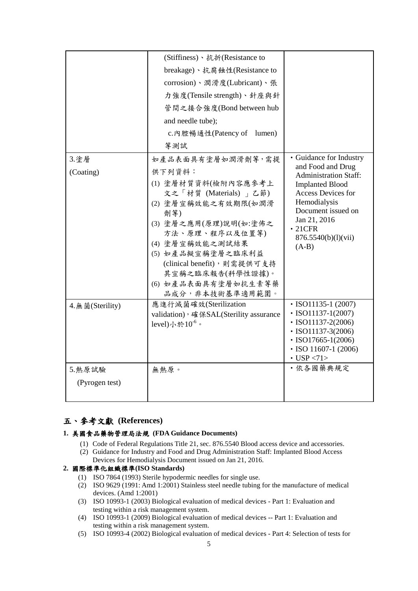|                   | (Stiffiness)、抗折(Resistance to                                                                                                                                                                                                                                                             |                                                                                                                                                                                                                                |
|-------------------|-------------------------------------------------------------------------------------------------------------------------------------------------------------------------------------------------------------------------------------------------------------------------------------------|--------------------------------------------------------------------------------------------------------------------------------------------------------------------------------------------------------------------------------|
|                   | breakage)、抗腐蝕性(Resistance to                                                                                                                                                                                                                                                              |                                                                                                                                                                                                                                |
|                   | corrosion)、潤滑度(Lubricant)、張                                                                                                                                                                                                                                                               |                                                                                                                                                                                                                                |
|                   | 力強度(Tensile strength)、針座與針                                                                                                                                                                                                                                                                |                                                                                                                                                                                                                                |
|                   | 管間之接合強度(Bond between hub                                                                                                                                                                                                                                                                  |                                                                                                                                                                                                                                |
|                   | and needle tube);                                                                                                                                                                                                                                                                         |                                                                                                                                                                                                                                |
|                   | c.內腔暢通性(Patency of lumen)                                                                                                                                                                                                                                                                 |                                                                                                                                                                                                                                |
|                   | 等測試                                                                                                                                                                                                                                                                                       |                                                                                                                                                                                                                                |
| 3.塗層<br>(Coating) | 如產品表面具有塗層如潤滑劑等,需提<br>供下列資料:<br>(1) 塗層材質資料(檢附內容應參考上<br>文之「材質 (Materials) 」乙節)<br>(2) 塗層宣稱效能之有效期限(如潤滑<br>劑等)<br>(3) 塗層之應用(原理)說明(如:塗佈之<br>方法、原理、程序以及位置等)<br>(4) 塗層宣稱效能之測試結果<br>(5) 如產品擬宣稱塗層之臨床利益<br>(clinical benefit),則需提供可支持<br>其宣稱之臨床報告(科學性證據)。<br>(6) 如產品表面具有塗層如抗生素等藥<br>品成分,非本技術基準適用範圍。 | · Guidance for Industry<br>and Food and Drug<br>Administration Staff:<br><b>Implanted Blood</b><br>Access Devices for<br>Hemodialysis<br>Document issued on<br>Jan 21, 2016<br>$\cdot$ 21CFR<br>876.5540(b)(1)(vii)<br>$(A-B)$ |
| 4. 無菌(Sterility)  | 應進行滅菌確效(Sterilization<br>validation), 確保SAL(Sterility assurance<br>level)小於 $10^{-6}$ 。                                                                                                                                                                                                   | $\cdot$ ISO11135-1 (2007)<br>$\cdot$ ISO11137-1(2007)<br>$\cdot$ ISO11137-2(2006)<br>$\cdot$ ISO11137-3(2006)<br>$\cdot$ ISO17665-1(2006)<br>$\cdot$ ISO 11607-1 (2006)<br>$\cdot$ USP <71>                                    |
| 5. 熱原試驗           | 無熱原。                                                                                                                                                                                                                                                                                      | · 依各國藥典規定                                                                                                                                                                                                                      |
| (Pyrogen test)    |                                                                                                                                                                                                                                                                                           |                                                                                                                                                                                                                                |
|                   |                                                                                                                                                                                                                                                                                           |                                                                                                                                                                                                                                |

# 五、參考文獻 **(References)**

### **1.** 美國食品藥物管理局法規 **(FDA Guidance Documents)**

- (1) Code of Federal Regulations Title 21, sec. 876.5540 Blood access device and accessories.
- (2) Guidance for Industry and Food and Drug Administration Staff: Implanted Blood Access Devices for Hemodialysis Document issued on Jan 21, 2016.

## **2.** 國際標準化組織標準**(ISO Standards)**

- (1) ISO 7864 (1993) Sterile hypodermic needles for single use.
- (2) ISO 9629 (1991: Amd 1:2001) Stainless steel needle tubing for the manufacture of medical devices. (Amd 1:2001)
- (3) ISO 10993-1 (2003) Biological evaluation of medical devices Part 1: Evaluation and testing within a risk management system.
- (4) ISO 10993-1 (2009) Biological evaluation of medical devices -- Part 1: Evaluation and testing within a risk management system.
- (5) ISO 10993-4 (2002) Biological evaluation of medical devices Part 4: Selection of tests for